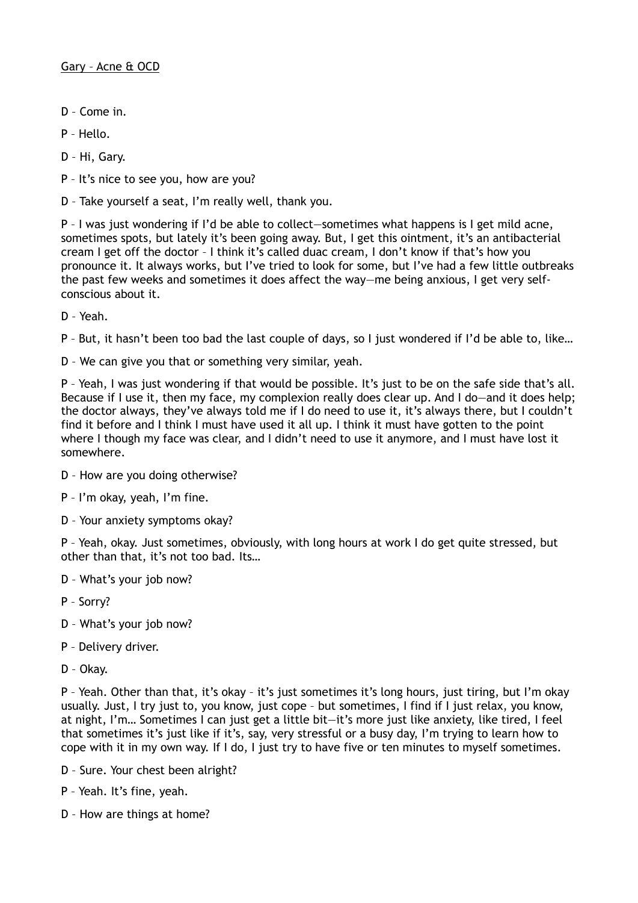- D Come in.
- P Hello.
- D Hi, Gary.
- P It's nice to see you, how are you?
- D Take yourself a seat, I'm really well, thank you.

P – I was just wondering if I'd be able to collect—sometimes what happens is I get mild acne, sometimes spots, but lately it's been going away. But, I get this ointment, it's an antibacterial cream I get off the doctor – I think it's called duac cream, I don't know if that's how you pronounce it. It always works, but I've tried to look for some, but I've had a few little outbreaks the past few weeks and sometimes it does affect the way—me being anxious, I get very selfconscious about it.

D – Yeah.

P – But, it hasn't been too bad the last couple of days, so I just wondered if I'd be able to, like…

D – We can give you that or something very similar, yeah.

P – Yeah, I was just wondering if that would be possible. It's just to be on the safe side that's all. Because if I use it, then my face, my complexion really does clear up. And I do-and it does help; the doctor always, they've always told me if I do need to use it, it's always there, but I couldn't find it before and I think I must have used it all up. I think it must have gotten to the point where I though my face was clear, and I didn't need to use it anymore, and I must have lost it somewhere.

- D How are you doing otherwise?
- P I'm okay, yeah, I'm fine.
- D Your anxiety symptoms okay?

P – Yeah, okay. Just sometimes, obviously, with long hours at work I do get quite stressed, but other than that, it's not too bad. Its…

- D What's your job now?
- P Sorry?
- D What's your job now?
- P Delivery driver.
- D Okay.

P – Yeah. Other than that, it's okay – it's just sometimes it's long hours, just tiring, but I'm okay usually. Just, I try just to, you know, just cope – but sometimes, I find if I just relax, you know, at night, I'm… Sometimes I can just get a little bit—it's more just like anxiety, like tired, I feel that sometimes it's just like if it's, say, very stressful or a busy day, I'm trying to learn how to cope with it in my own way. If I do, I just try to have five or ten minutes to myself sometimes.

- D Sure. Your chest been alright?
- P Yeah. It's fine, yeah.
- D How are things at home?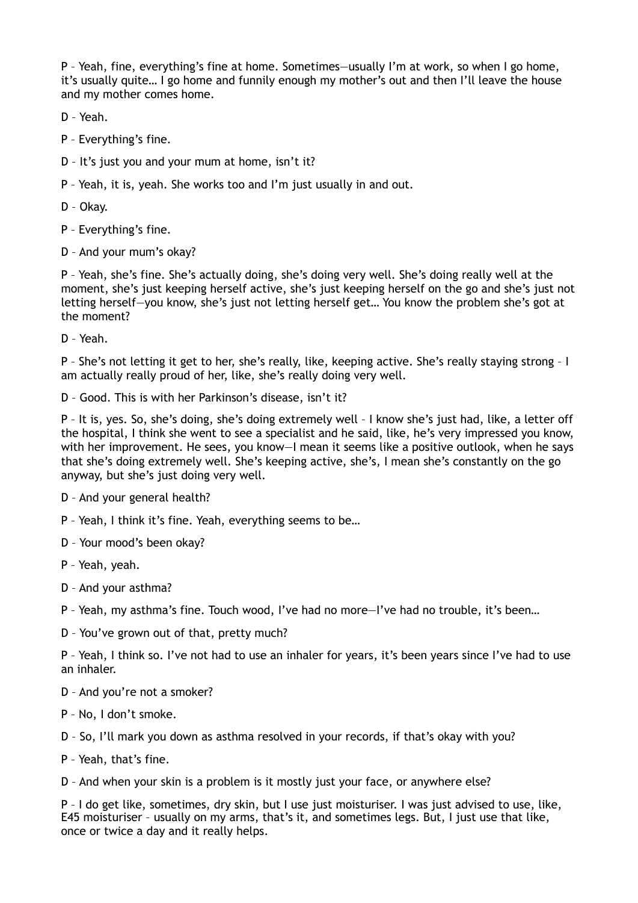P – Yeah, fine, everything's fine at home. Sometimes—usually I'm at work, so when I go home, it's usually quite… I go home and funnily enough my mother's out and then I'll leave the house and my mother comes home.

D – Yeah.

- P Everything's fine.
- D It's just you and your mum at home, isn't it?
- P Yeah, it is, yeah. She works too and I'm just usually in and out.

D – Okay.

P – Everything's fine.

D – And your mum's okay?

P – Yeah, she's fine. She's actually doing, she's doing very well. She's doing really well at the moment, she's just keeping herself active, she's just keeping herself on the go and she's just not letting herself—you know, she's just not letting herself get… You know the problem she's got at the moment?

D – Yeah.

P – She's not letting it get to her, she's really, like, keeping active. She's really staying strong – I am actually really proud of her, like, she's really doing very well.

D – Good. This is with her Parkinson's disease, isn't it?

P – It is, yes. So, she's doing, she's doing extremely well – I know she's just had, like, a letter off the hospital, I think she went to see a specialist and he said, like, he's very impressed you know, with her improvement. He sees, you know–I mean it seems like a positive outlook, when he says that she's doing extremely well. She's keeping active, she's, I mean she's constantly on the go anyway, but she's just doing very well.

D – And your general health?

P – Yeah, I think it's fine. Yeah, everything seems to be…

D – Your mood's been okay?

- P Yeah, yeah.
- D And your asthma?

P – Yeah, my asthma's fine. Touch wood, I've had no more—I've had no trouble, it's been…

D – You've grown out of that, pretty much?

P – Yeah, I think so. I've not had to use an inhaler for years, it's been years since I've had to use an inhaler.

- D And you're not a smoker?
- P No, I don't smoke.

D – So, I'll mark you down as asthma resolved in your records, if that's okay with you?

P – Yeah, that's fine.

D – And when your skin is a problem is it mostly just your face, or anywhere else?

P – I do get like, sometimes, dry skin, but I use just moisturiser. I was just advised to use, like, E45 moisturiser – usually on my arms, that's it, and sometimes legs. But, I just use that like, once or twice a day and it really helps.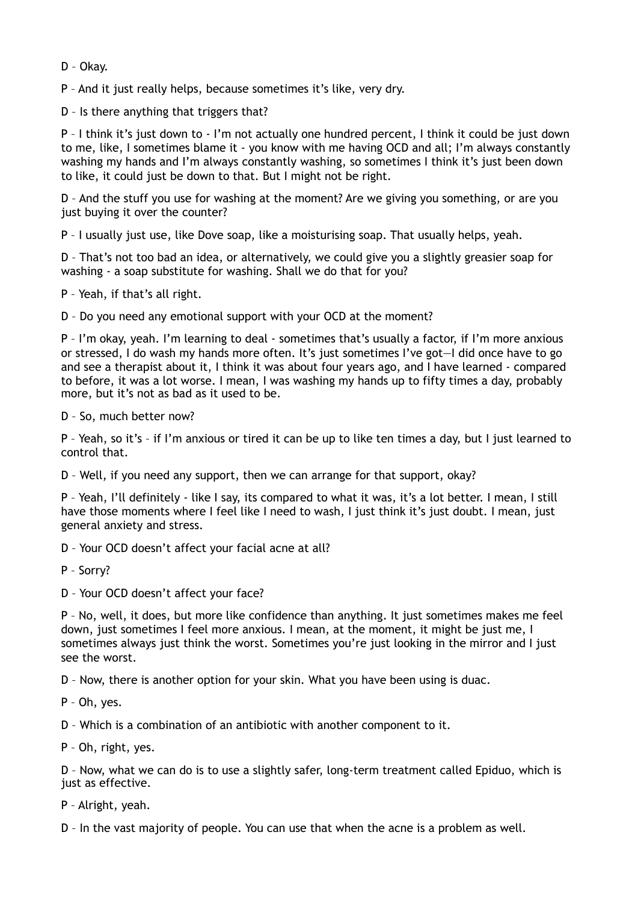- D Okay.
- P And it just really helps, because sometimes it's like, very dry.

D – Is there anything that triggers that?

P - I think it's just down to - I'm not actually one hundred percent, I think it could be just down to me, like, I sometimes blame it - you know with me having OCD and all; I'm always constantly washing my hands and I'm always constantly washing, so sometimes I think it's just been down to like, it could just be down to that. But I might not be right.

D – And the stuff you use for washing at the moment? Are we giving you something, or are you just buving it over the counter?

P – I usually just use, like Dove soap, like a moisturising soap. That usually helps, yeah.

D – That's not too bad an idea, or alternatively, we could give you a slightly greasier soap for washing - a soap substitute for washing. Shall we do that for you?

P – Yeah, if that's all right.

D – Do you need any emotional support with your OCD at the moment?

P – I'm okay, yeah. I'm learning to deal - sometimes that's usually a factor, if I'm more anxious or stressed, I do wash my hands more often. It's just sometimes I've got—I did once have to go and see a therapist about it, I think it was about four years ago, and I have learned - compared to before, it was a lot worse. I mean, I was washing my hands up to fifty times a day, probably more, but it's not as bad as it used to be.

D – So, much better now?

P – Yeah, so it's – if I'm anxious or tired it can be up to like ten times a day, but I just learned to control that.

D – Well, if you need any support, then we can arrange for that support, okay?

P – Yeah, I'll definitely - like I say, its compared to what it was, it's a lot better. I mean, I still have those moments where I feel like I need to wash. I just think it's just doubt. I mean, just general anxiety and stress.

D – Your OCD doesn't affect your facial acne at all?

P – Sorry?

D – Your OCD doesn't affect your face?

P – No, well, it does, but more like confidence than anything. It just sometimes makes me feel down, just sometimes I feel more anxious. I mean, at the moment, it might be just me, I sometimes always just think the worst. Sometimes you're just looking in the mirror and I just see the worst.

D – Now, there is another option for your skin. What you have been using is duac.

P – Oh, yes.

D – Which is a combination of an antibiotic with another component to it.

P – Oh, right, yes.

D – Now, what we can do is to use a slightly safer, long-term treatment called Epiduo, which is just as effective.

P – Alright, yeah.

D – In the vast majority of people. You can use that when the acne is a problem as well.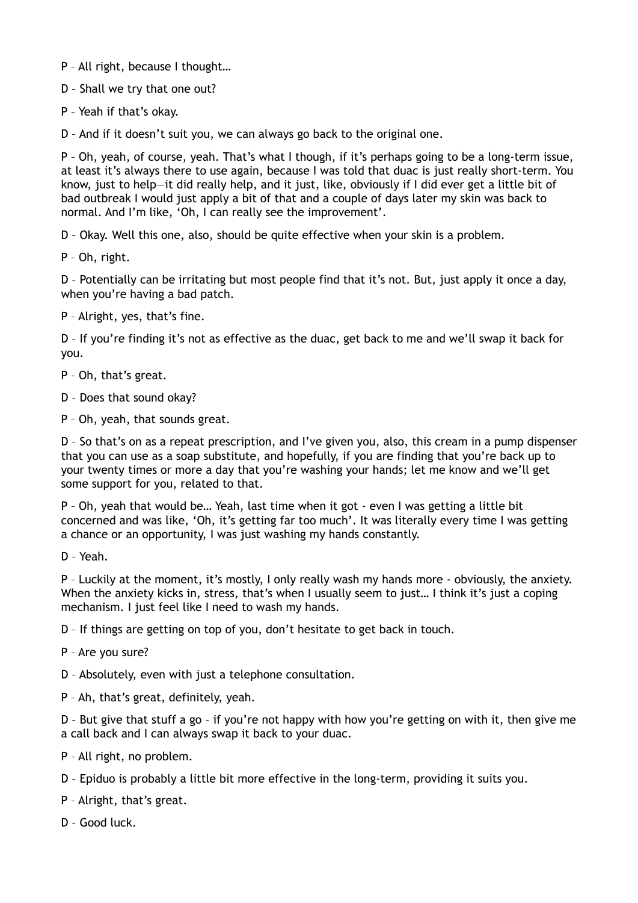P – All right, because I thought…

D – Shall we try that one out?

P – Yeah if that's okay.

D – And if it doesn't suit you, we can always go back to the original one.

P – Oh, yeah, of course, yeah. That's what I though, if it's perhaps going to be a long-term issue, at least it's always there to use again, because I was told that duac is just really short-term. You know, just to help—it did really help, and it just, like, obviously if I did ever get a little bit of bad outbreak I would just apply a bit of that and a couple of days later my skin was back to normal. And I'm like, 'Oh, I can really see the improvement'.

D – Okay. Well this one, also, should be quite effective when your skin is a problem.

P – Oh, right.

D – Potentially can be irritating but most people find that it's not. But, just apply it once a day, when you're having a bad patch.

P – Alright, yes, that's fine.

D – If you're finding it's not as effective as the duac, get back to me and we'll swap it back for you.

P – Oh, that's great.

D – Does that sound okay?

P – Oh, yeah, that sounds great.

D – So that's on as a repeat prescription, and I've given you, also, this cream in a pump dispenser that you can use as a soap substitute, and hopefully, if you are finding that you're back up to your twenty times or more a day that you're washing your hands; let me know and we'll get some support for you, related to that.

P – Oh, yeah that would be… Yeah, last time when it got - even I was getting a little bit concerned and was like, 'Oh, it's getting far too much'. It was literally every time I was getting a chance or an opportunity, I was just washing my hands constantly.

D – Yeah.

P – Luckily at the moment, it's mostly, I only really wash my hands more - obviously, the anxiety. When the anxiety kicks in, stress, that's when I usually seem to just... I think it's just a coping mechanism. I just feel like I need to wash my hands.

D – If things are getting on top of you, don't hesitate to get back in touch.

P – Are you sure?

D – Absolutely, even with just a telephone consultation.

P – Ah, that's great, definitely, yeah.

D – But give that stuff a go – if you're not happy with how you're getting on with it, then give me a call back and I can always swap it back to your duac.

P – All right, no problem.

D – Epiduo is probably a little bit more effective in the long-term, providing it suits you.

P – Alright, that's great.

D – Good luck.